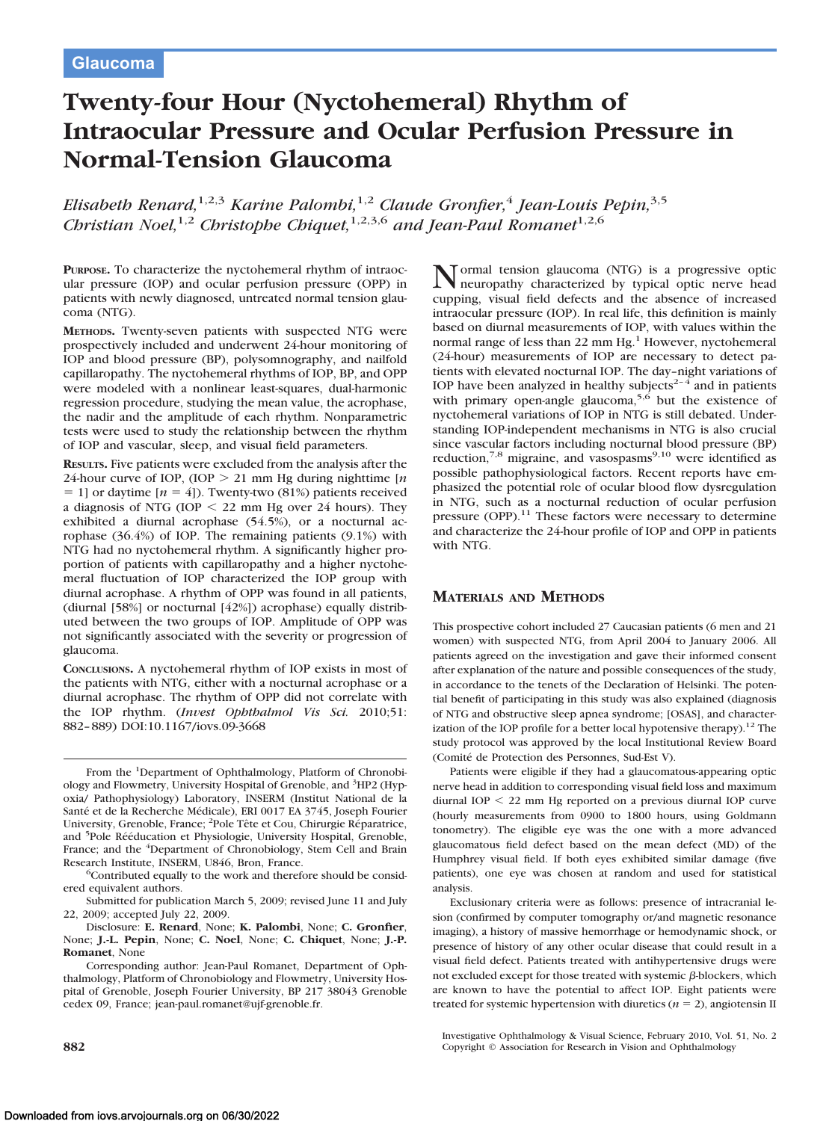# **Twenty-four Hour (Nyctohemeral) Rhythm of Intraocular Pressure and Ocular Perfusion Pressure in Normal-Tension Glaucoma**

*Elisabeth Renard,*1,2,3 *Karine Palombi,*1,2 *Claude Gronfier,*<sup>4</sup> *Jean-Louis Pepin,*3,5 *Christian Noel*,<sup>1,2</sup> *Christophe Chiquet*,<sup>1,2,3,6</sup> *and Jean-Paul Romanet*<sup>1,2,6</sup>

**PURPOSE.** To characterize the nyctohemeral rhythm of intraocular pressure (IOP) and ocular perfusion pressure (OPP) in patients with newly diagnosed, untreated normal tension glaucoma (NTG).

**METHODS.** Twenty-seven patients with suspected NTG were prospectively included and underwent 24-hour monitoring of IOP and blood pressure (BP), polysomnography, and nailfold capillaropathy. The nyctohemeral rhythms of IOP, BP, and OPP were modeled with a nonlinear least-squares, dual-harmonic regression procedure, studying the mean value, the acrophase, the nadir and the amplitude of each rhythm. Nonparametric tests were used to study the relationship between the rhythm of IOP and vascular, sleep, and visual field parameters.

**RESULTS.** Five patients were excluded from the analysis after the 24-hour curve of IOP, (IOP  $> 21$  mm Hg during nighttime [*n*  $= 1$ ] or daytime  $[n = 4]$ ). Twenty-two (81%) patients received a diagnosis of NTG (IOP  $\leq$  22 mm Hg over 24 hours). They exhibited a diurnal acrophase (54.5%), or a nocturnal acrophase (36.4%) of IOP. The remaining patients (9.1%) with NTG had no nyctohemeral rhythm. A significantly higher proportion of patients with capillaropathy and a higher nyctohemeral fluctuation of IOP characterized the IOP group with diurnal acrophase. A rhythm of OPP was found in all patients, (diurnal [58%] or nocturnal [42%]) acrophase) equally distributed between the two groups of IOP. Amplitude of OPP was not significantly associated with the severity or progression of glaucoma.

**CONCLUSIONS.** A nyctohemeral rhythm of IOP exists in most of the patients with NTG, either with a nocturnal acrophase or a diurnal acrophase. The rhythm of OPP did not correlate with the IOP rhythm. (*Invest Ophthalmol Vis Sci.* 2010;51: 882– 889) DOI:10.1167/iovs.09-3668

From the <sup>1</sup>Department of Ophthalmology, Platform of Chronobiology and Flowmetry, University Hospital of Grenoble, and <sup>3</sup>HP2 (Hypoxia/ Pathophysiology) Laboratory, INSERM (Institut National de la Santé et de la Recherche Médicale), ERI 0017 EA 3745, Joseph Fourier University, Grenoble, France; <sup>2</sup>Pole Tête et Cou, Chirurgie Réparatrice, and <sup>5</sup>Pole Rééducation et Physiologie, University Hospital, Grenoble, France; and the <sup>4</sup>Department of Chronobiology, Stem Cell and Brain Research Institute, INSERM, U846, Bron, France.

 $6$ Contributed equally to the work and therefore should be considered equivalent authors.

Submitted for publication March 5, 2009; revised June 11 and July 22, 2009; accepted July 22, 2009.

Disclosure: **E. Renard**, None; **K. Palombi**, None; **C. Gronfier**, None; **J.-L. Pepin**, None; **C. Noel**, None; **C. Chiquet**, None; **J.-P. Romanet**, None

Corresponding author: Jean-Paul Romanet, Department of Ophthalmology, Platform of Chronobiology and Flowmetry, University Hospital of Grenoble, Joseph Fourier University, BP 217 38043 Grenoble cedex 09, France; jean-paul.romanet@ujf-grenoble.fr.

Tormal tension glaucoma (NTG) is a progressive optic neuropathy characterized by typical optic nerve head cupping, visual field defects and the absence of increased intraocular pressure (IOP). In real life, this definition is mainly based on diurnal measurements of IOP, with values within the normal range of less than  $22 \text{ mm Hg}$ .<sup>1</sup> However, nyctohemeral (24-hour) measurements of IOP are necessary to detect patients with elevated nocturnal IOP. The day–night variations of IOP have been analyzed in healthy subjects $2^{-4}$  and in patients with primary open-angle glaucoma,<sup>5,6</sup> but the existence of nyctohemeral variations of IOP in NTG is still debated. Understanding IOP-independent mechanisms in NTG is also crucial since vascular factors including nocturnal blood pressure (BP) reduction,<sup>7,8</sup> migraine, and vasospasms<sup>9,10</sup> were identified as possible pathophysiological factors. Recent reports have emphasized the potential role of ocular blood flow dysregulation in NTG, such as a nocturnal reduction of ocular perfusion pressure  $(OPP)$ .<sup>11</sup> These factors were necessary to determine and characterize the 24-hour profile of IOP and OPP in patients with NTG.

## **MATERIALS AND METHODS**

This prospective cohort included 27 Caucasian patients (6 men and 21 women) with suspected NTG, from April 2004 to January 2006. All patients agreed on the investigation and gave their informed consent after explanation of the nature and possible consequences of the study, in accordance to the tenets of the Declaration of Helsinki. The potential benefit of participating in this study was also explained (diagnosis of NTG and obstructive sleep apnea syndrome; [OSAS], and characterization of the IOP profile for a better local hypotensive therapy).<sup>12</sup> The study protocol was approved by the local Institutional Review Board (Comité de Protection des Personnes, Sud-Est V).

Patients were eligible if they had a glaucomatous-appearing optic nerve head in addition to corresponding visual field loss and maximum diurnal  $IOP < 22$  mm Hg reported on a previous diurnal  $IOP$  curve (hourly measurements from 0900 to 1800 hours, using Goldmann tonometry). The eligible eye was the one with a more advanced glaucomatous field defect based on the mean defect (MD) of the Humphrey visual field. If both eyes exhibited similar damage (five patients), one eye was chosen at random and used for statistical analysis.

Exclusionary criteria were as follows: presence of intracranial lesion (confirmed by computer tomography or/and magnetic resonance imaging), a history of massive hemorrhage or hemodynamic shock, or presence of history of any other ocular disease that could result in a visual field defect. Patients treated with antihypertensive drugs were not excluded except for those treated with systemic  $\beta$ -blockers, which are known to have the potential to affect IOP. Eight patients were treated for systemic hypertension with diuretics  $(n = 2)$ , angiotensin II

Investigative Ophthalmology & Visual Science, February 2010, Vol. 51, No. 2 **882** Copyright © Association for Research in Vision and Ophthalmology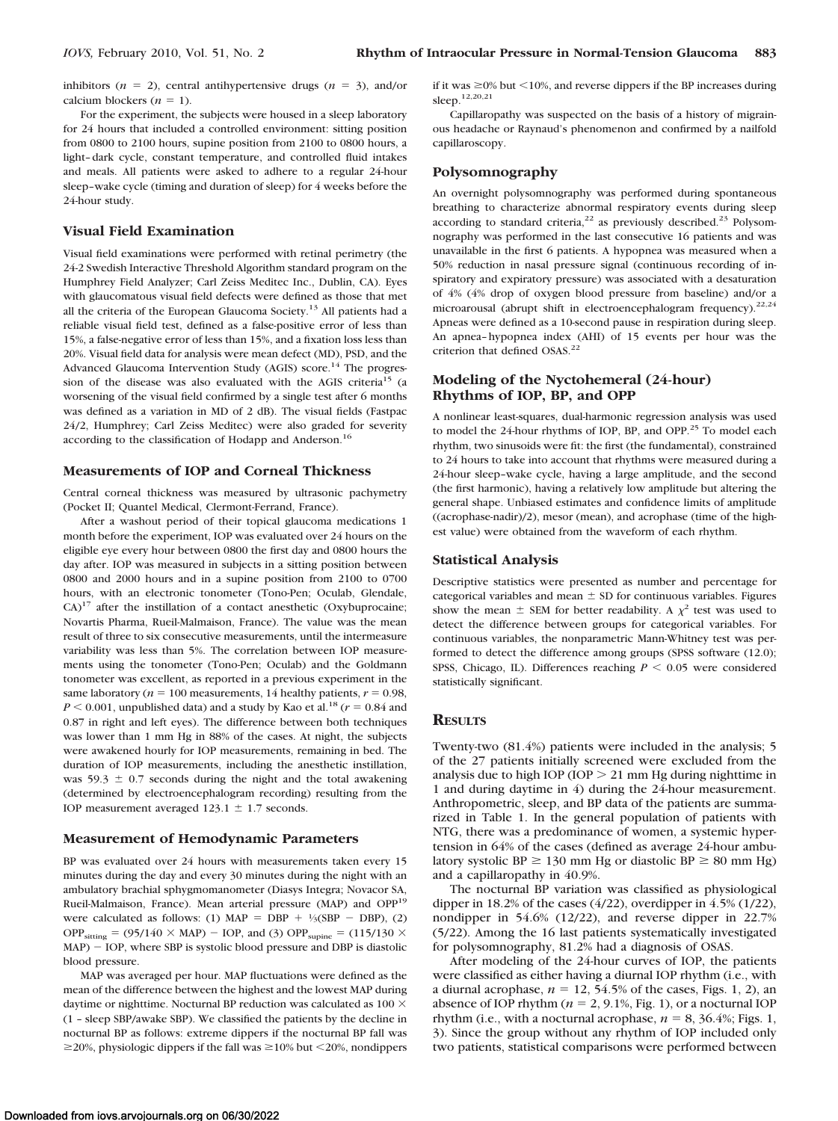inhibitors  $(n = 2)$ , central antihypertensive drugs  $(n = 3)$ , and/or calcium blockers  $(n = 1)$ .

For the experiment, the subjects were housed in a sleep laboratory for 24 hours that included a controlled environment: sitting position from 0800 to 2100 hours, supine position from 2100 to 0800 hours, a light– dark cycle, constant temperature, and controlled fluid intakes and meals. All patients were asked to adhere to a regular 24-hour sleep–wake cycle (timing and duration of sleep) for 4 weeks before the 24-hour study.

#### **Visual Field Examination**

Visual field examinations were performed with retinal perimetry (the 24-2 Swedish Interactive Threshold Algorithm standard program on the Humphrey Field Analyzer; Carl Zeiss Meditec Inc., Dublin, CA). Eyes with glaucomatous visual field defects were defined as those that met all the criteria of the European Glaucoma Society.13 All patients had a reliable visual field test, defined as a false-positive error of less than 15%, a false-negative error of less than 15%, and a fixation loss less than 20%. Visual field data for analysis were mean defect (MD), PSD, and the Advanced Glaucoma Intervention Study (AGIS) score.<sup>14</sup> The progression of the disease was also evaluated with the AGIS criteria<sup>15</sup> (a worsening of the visual field confirmed by a single test after 6 months was defined as a variation in MD of 2 dB). The visual fields (Fastpac 24/2, Humphrey; Carl Zeiss Meditec) were also graded for severity according to the classification of Hodapp and Anderson.<sup>16</sup>

#### **Measurements of IOP and Corneal Thickness**

Central corneal thickness was measured by ultrasonic pachymetry (Pocket II; Quantel Medical, Clermont-Ferrand, France).

After a washout period of their topical glaucoma medications 1 month before the experiment, IOP was evaluated over 24 hours on the eligible eye every hour between 0800 the first day and 0800 hours the day after. IOP was measured in subjects in a sitting position between 0800 and 2000 hours and in a supine position from 2100 to 0700 hours, with an electronic tonometer (Tono-Pen; Oculab, Glendale,  $CA)^{17}$  after the instillation of a contact anesthetic (Oxybuprocaine; Novartis Pharma, Rueil-Malmaison, France). The value was the mean result of three to six consecutive measurements, until the intermeasure variability was less than 5%. The correlation between IOP measurements using the tonometer (Tono-Pen; Oculab) and the Goldmann tonometer was excellent, as reported in a previous experiment in the same laboratory ( $n = 100$  measurements, 14 healthy patients,  $r = 0.98$ ,  $P < 0.001$ , unpublished data) and a study by Kao et al.<sup>18</sup> ( $r = 0.84$  and 0.87 in right and left eyes). The difference between both techniques was lower than 1 mm Hg in 88% of the cases. At night, the subjects were awakened hourly for IOP measurements, remaining in bed. The duration of IOP measurements, including the anesthetic instillation, was 59.3  $\pm$  0.7 seconds during the night and the total awakening (determined by electroencephalogram recording) resulting from the IOP measurement averaged  $123.1 \pm 1.7$  seconds.

#### **Measurement of Hemodynamic Parameters**

BP was evaluated over 24 hours with measurements taken every 15 minutes during the day and every 30 minutes during the night with an ambulatory brachial sphygmomanometer (Diasys Integra; Novacor SA, Rueil-Malmaison, France). Mean arterial pressure (MAP) and OPP19 were calculated as follows: (1) MAP = DBP +  $\frac{1}{3}$ (SBP - DBP), (2) OPP<sub>sitting</sub> =  $(95/140 \times \text{MAP})$  – IOP, and (3) OPP<sub>supine</sub> =  $(115/130 \times$  $MAP$ ) – IOP, where SBP is systolic blood pressure and DBP is diastolic blood pressure.

MAP was averaged per hour. MAP fluctuations were defined as the mean of the difference between the highest and the lowest MAP during daytime or nighttime. Nocturnal BP reduction was calculated as 100  $\times$ (1 – sleep SBP/awake SBP). We classified the patients by the decline in nocturnal BP as follows: extreme dippers if the nocturnal BP fall was  $\geq$ 20%, physiologic dippers if the fall was  $\geq$ 10% but <20%, nondippers

if it was  $\geq$ 0% but  $\leq$ 10%, and reverse dippers if the BP increases during sleep.12,20,21

Capillaropathy was suspected on the basis of a history of migrainous headache or Raynaud's phenomenon and confirmed by a nailfold capillaroscopy.

## **Polysomnography**

An overnight polysomnography was performed during spontaneous breathing to characterize abnormal respiratory events during sleep according to standard criteria,<sup>22</sup> as previously described.<sup>23</sup> Polysomnography was performed in the last consecutive 16 patients and was unavailable in the first 6 patients. A hypopnea was measured when a 50% reduction in nasal pressure signal (continuous recording of inspiratory and expiratory pressure) was associated with a desaturation of 4% (4% drop of oxygen blood pressure from baseline) and/or a microarousal (abrupt shift in electroencephalogram frequency).<sup>22,24</sup> Apneas were defined as a 10-second pause in respiration during sleep. An apnea– hypopnea index (AHI) of 15 events per hour was the criterion that defined OSAS.<sup>22</sup>

## **Modeling of the Nyctohemeral (24-hour) Rhythms of IOP, BP, and OPP**

A nonlinear least-squares, dual-harmonic regression analysis was used to model the 24-hour rhythms of IOP, BP, and OPP.<sup>25</sup> To model each rhythm, two sinusoids were fit: the first (the fundamental), constrained to 24 hours to take into account that rhythms were measured during a 24-hour sleep–wake cycle, having a large amplitude, and the second (the first harmonic), having a relatively low amplitude but altering the general shape. Unbiased estimates and confidence limits of amplitude ((acrophase-nadir)/2), mesor (mean), and acrophase (time of the highest value) were obtained from the waveform of each rhythm.

#### **Statistical Analysis**

Descriptive statistics were presented as number and percentage for categorical variables and mean  $\pm$  SD for continuous variables. Figures show the mean  $\pm$  SEM for better readability. A  $\chi^2$  test was used to detect the difference between groups for categorical variables. For continuous variables, the nonparametric Mann-Whitney test was performed to detect the difference among groups (SPSS software (12.0); SPSS, Chicago, IL). Differences reaching  $P \leq 0.05$  were considered statistically significant.

### **RESULTS**

Twenty-two (81.4%) patients were included in the analysis; 5 of the 27 patients initially screened were excluded from the analysis due to high IOP (IOP  $> 21$  mm Hg during nighttime in 1 and during daytime in 4) during the 24-hour measurement. Anthropometric, sleep, and BP data of the patients are summarized in Table 1. In the general population of patients with NTG, there was a predominance of women, a systemic hypertension in 64% of the cases (defined as average 24-hour ambulatory systolic  $BP \ge 130$  mm Hg or diastolic  $BP \ge 80$  mm Hg) and a capillaropathy in 40.9%.

The nocturnal BP variation was classified as physiological dipper in 18.2% of the cases  $(4/22)$ , overdipper in 4.5%  $(1/22)$ , nondipper in 54.6% (12/22), and reverse dipper in 22.7% (5/22). Among the 16 last patients systematically investigated for polysomnography, 81.2% had a diagnosis of OSAS.

After modeling of the 24-hour curves of IOP, the patients were classified as either having a diurnal IOP rhythm (i.e., with a diurnal acrophase,  $n = 12, 54.5\%$  of the cases, Figs. 1, 2), an absence of IOP rhythm  $(n = 2, 9.1\%, Fig. 1)$ , or a nocturnal IOP rhythm (i.e., with a nocturnal acrophase,  $n = 8, 36.4\%$ ; Figs. 1, 3). Since the group without any rhythm of IOP included only two patients, statistical comparisons were performed between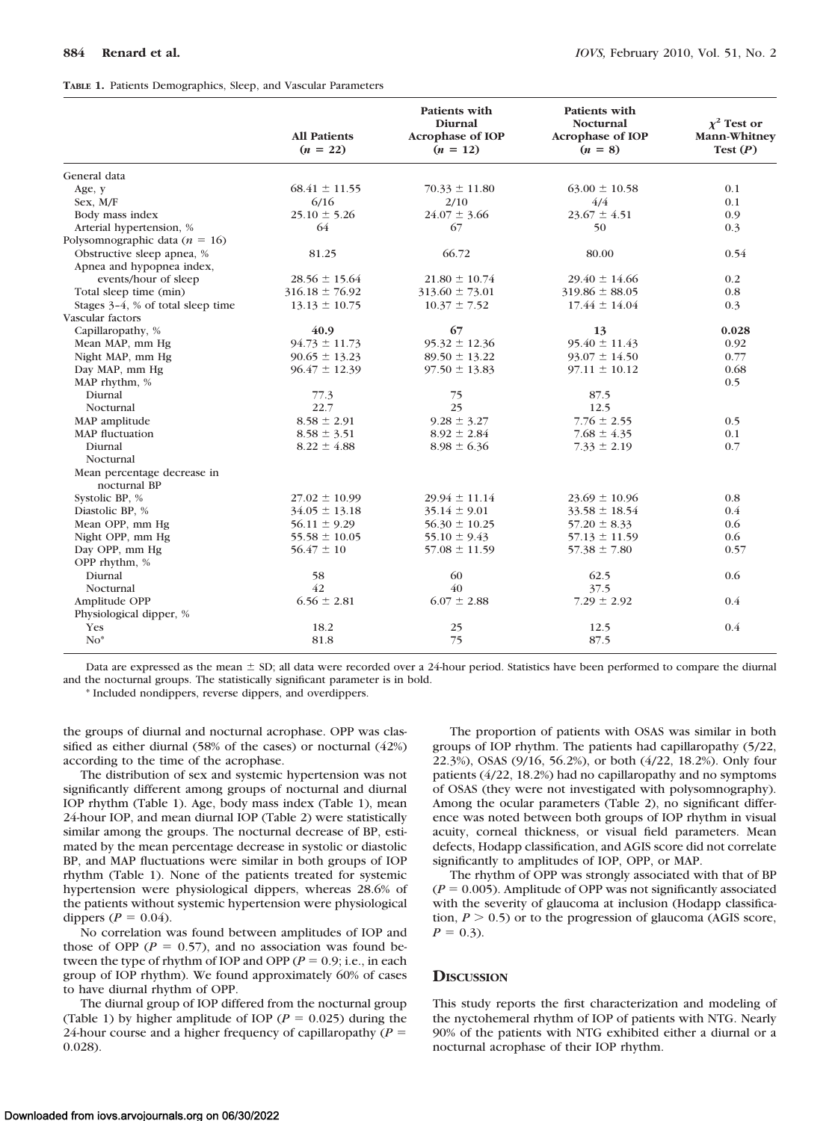#### **TABLE 1.** Patients Demographics, Sleep, and Vascular Parameters

|                                             | <b>All Patients</b><br>$(n = 22)$ | <b>Patients with</b><br>Diurnal<br><b>Acrophase of IOP</b><br>$(n = 12)$ | <b>Patients with</b><br><b>Nocturnal</b><br><b>Acrophase of IOP</b><br>$(n = 8)$ | $\chi^2$ Test or<br><b>Mann-Whitney</b><br>Test $(P)$ |
|---------------------------------------------|-----------------------------------|--------------------------------------------------------------------------|----------------------------------------------------------------------------------|-------------------------------------------------------|
| General data                                |                                   |                                                                          |                                                                                  |                                                       |
| Age, y                                      | $68.41 \pm 11.55$                 | $70.33 \pm 11.80$                                                        | $63.00 \pm 10.58$                                                                | 0.1                                                   |
| Sex, M/F                                    | 6/16                              | 2/10                                                                     | 4/4                                                                              | 0.1                                                   |
| Body mass index                             | $25.10 \pm 5.26$                  | $24.07 \pm 3.66$                                                         | $23.67 \pm 4.51$                                                                 | 0.9                                                   |
| Arterial hypertension, %                    | 64                                | 67                                                                       | 50                                                                               | 0.3                                                   |
| Polysomnographic data ( $n = 16$ )          |                                   |                                                                          |                                                                                  |                                                       |
| Obstructive sleep apnea, %                  | 81.25                             | 66.72                                                                    | 80.00                                                                            | 0.54                                                  |
| Apnea and hypopnea index,                   |                                   |                                                                          |                                                                                  |                                                       |
| events/hour of sleep                        | $28.56 \pm 15.64$                 | $21.80 \pm 10.74$                                                        | $29.40 \pm 14.66$                                                                | 0.2                                                   |
| Total sleep time (min)                      | $316.18 \pm 76.92$                | $313.60 \pm 73.01$                                                       | $319.86 \pm 88.05$                                                               | 0.8                                                   |
| Stages 3-4, % of total sleep time           | $13.13 \pm 10.75$                 | $10.37 \pm 7.52$                                                         | $17.44 \pm 14.04$                                                                | 0.3                                                   |
| Vascular factors                            |                                   |                                                                          |                                                                                  |                                                       |
| Capillaropathy, %                           | 40.9                              | 67                                                                       | 13                                                                               | 0.028                                                 |
| Mean MAP, mm Hg                             | $94.73 \pm 11.73$                 | $95.32 \pm 12.36$                                                        | $95.40 \pm 11.43$                                                                | 0.92                                                  |
| Night MAP, mm Hg                            | $90.65 \pm 13.23$                 | $89.50 \pm 13.22$                                                        | $93.07 \pm 14.50$                                                                | 0.77                                                  |
| Day MAP, mm Hg                              | $96.47 \pm 12.39$                 | $97.50 \pm 13.83$                                                        | $97.11 \pm 10.12$                                                                | 0.68                                                  |
| MAP rhythm, %                               |                                   |                                                                          |                                                                                  | 0.5                                                   |
| Diurnal                                     | 77.3                              | 75                                                                       | 87.5                                                                             |                                                       |
| Nocturnal                                   | 22.7                              | 25                                                                       | 12.5                                                                             |                                                       |
| MAP amplitude                               | $8.58 \pm 2.91$                   | $9.28 \pm 3.27$                                                          | $7.76 \pm 2.55$                                                                  | 0.5                                                   |
| <b>MAP</b> fluctuation                      | $8.58 \pm 3.51$                   | $8.92 \pm 2.84$                                                          | $7.68 \pm 4.35$                                                                  | 0.1                                                   |
| Diurnal                                     | $8.22 \pm 4.88$                   | $8.98 \pm 6.36$                                                          | $7.33 \pm 2.19$                                                                  | 0.7                                                   |
| Nocturnal                                   |                                   |                                                                          |                                                                                  |                                                       |
| Mean percentage decrease in<br>nocturnal BP |                                   |                                                                          |                                                                                  |                                                       |
| Systolic BP, %                              | $27.02 \pm 10.99$                 | $29.94 \pm 11.14$                                                        | $23.69 \pm 10.96$                                                                | 0.8                                                   |
| Diastolic BP, %                             | $34.05 \pm 13.18$                 | $35.14 \pm 9.01$                                                         | $33.58 \pm 18.54$                                                                | 0.4                                                   |
| Mean OPP, mm Hg                             | $56.11 \pm 9.29$                  | $56.30 \pm 10.25$                                                        | $57.20 \pm 8.33$                                                                 | 0.6                                                   |
| Night OPP, mm Hg                            | $55.58 \pm 10.05$                 | $55.10 \pm 9.43$                                                         | $57.13 \pm 11.59$                                                                | 0.6                                                   |
| Day OPP, mm Hg                              | $56.47 \pm 10$                    | $57.08 \pm 11.59$                                                        | $57.38 \pm 7.80$                                                                 | 0.57                                                  |
| OPP rhythm, %                               |                                   |                                                                          |                                                                                  |                                                       |
| Diurnal                                     | 58                                | 60                                                                       | 62.5                                                                             | 0.6                                                   |
| Nocturnal                                   | 42                                | 40                                                                       | 37.5                                                                             |                                                       |
| Amplitude OPP                               | $6.56 \pm 2.81$                   | $6.07 \pm 2.88$                                                          | $7.29 \pm 2.92$                                                                  | 0.4                                                   |
| Physiological dipper, %                     |                                   |                                                                          |                                                                                  |                                                       |
| Yes                                         | 18.2                              | 25                                                                       | 12.5                                                                             | 0.4                                                   |
| $No*$                                       | 81.8                              | 75                                                                       | 87.5                                                                             |                                                       |

Data are expressed as the mean  $\pm$  SD; all data were recorded over a 24-hour period. Statistics have been performed to compare the diurnal and the nocturnal groups. The statistically significant parameter is in bold.

\* Included nondippers, reverse dippers, and overdippers.

the groups of diurnal and nocturnal acrophase. OPP was classified as either diurnal (58% of the cases) or nocturnal (42%) according to the time of the acrophase.

The distribution of sex and systemic hypertension was not significantly different among groups of nocturnal and diurnal IOP rhythm (Table 1). Age, body mass index (Table 1), mean 24-hour IOP, and mean diurnal IOP (Table 2) were statistically similar among the groups. The nocturnal decrease of BP, estimated by the mean percentage decrease in systolic or diastolic BP, and MAP fluctuations were similar in both groups of IOP rhythm (Table 1). None of the patients treated for systemic hypertension were physiological dippers, whereas 28.6% of the patients without systemic hypertension were physiological dippers ( $P = 0.04$ ).

No correlation was found between amplitudes of IOP and those of OPP ( $P = 0.57$ ), and no association was found between the type of rhythm of IOP and OPP ( $P = 0.9$ ; i.e., in each group of IOP rhythm). We found approximately 60% of cases to have diurnal rhythm of OPP.

The diurnal group of IOP differed from the nocturnal group (Table 1) by higher amplitude of IOP ( $P = 0.025$ ) during the 24-hour course and a higher frequency of capillaropathy  $(P =$ 0.028).

The proportion of patients with OSAS was similar in both groups of IOP rhythm. The patients had capillaropathy (5/22, 22.3%), OSAS (9/16, 56.2%), or both (4/22, 18.2%). Only four patients (4/22, 18.2%) had no capillaropathy and no symptoms of OSAS (they were not investigated with polysomnography). Among the ocular parameters (Table 2), no significant difference was noted between both groups of IOP rhythm in visual acuity, corneal thickness, or visual field parameters. Mean defects, Hodapp classification, and AGIS score did not correlate significantly to amplitudes of IOP, OPP, or MAP.

The rhythm of OPP was strongly associated with that of BP  $(P = 0.005)$ . Amplitude of OPP was not significantly associated with the severity of glaucoma at inclusion (Hodapp classification,  $P > 0.5$ ) or to the progression of glaucoma (AGIS score,  $P = 0.3$ ).

## **DISCUSSION**

This study reports the first characterization and modeling of the nyctohemeral rhythm of IOP of patients with NTG. Nearly 90% of the patients with NTG exhibited either a diurnal or a nocturnal acrophase of their IOP rhythm.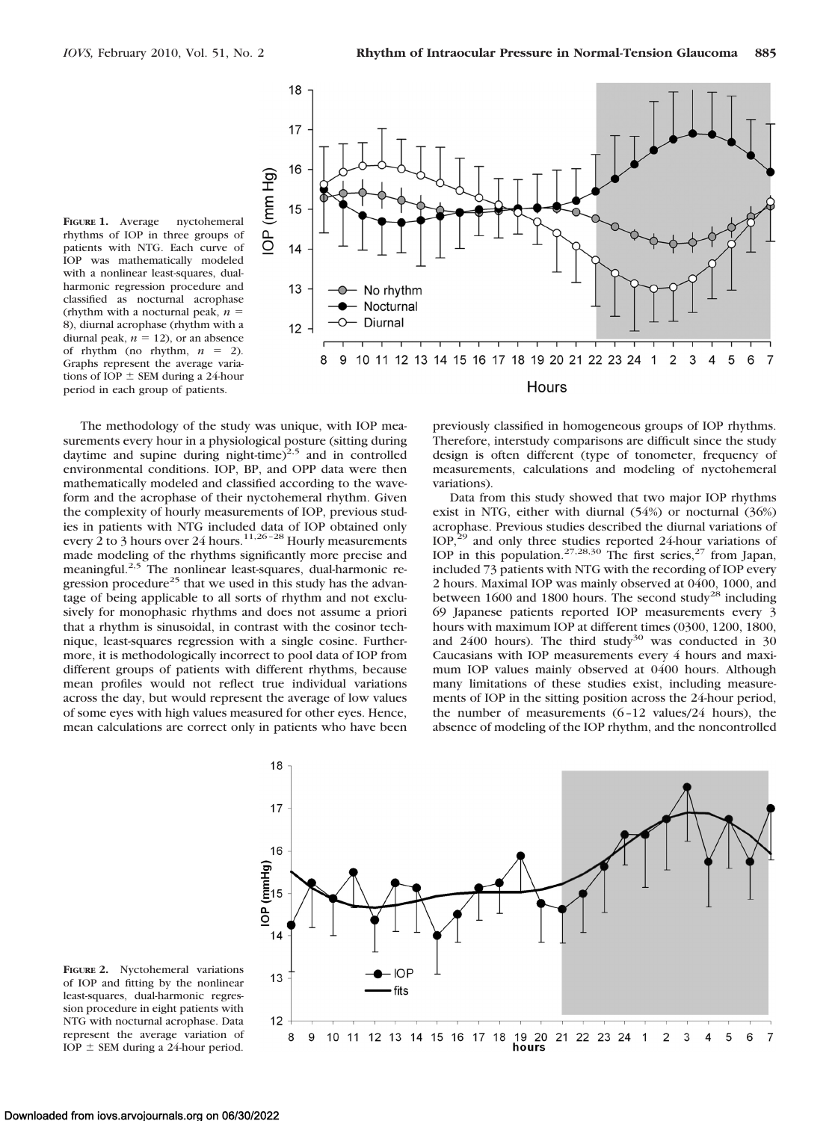



The methodology of the study was unique, with IOP measurements every hour in a physiological posture (sitting during daytime and supine during night-time) $^{2,5}$  and in controlled environmental conditions. IOP, BP, and OPP data were then mathematically modeled and classified according to the waveform and the acrophase of their nyctohemeral rhythm. Given the complexity of hourly measurements of IOP, previous studies in patients with NTG included data of IOP obtained only every 2 to 3 hours over 24 hours.<sup>11,26-28</sup> Hourly measurements made modeling of the rhythms significantly more precise and meaningful.<sup>2,5</sup> The nonlinear least-squares, dual-harmonic regression procedure<sup>25</sup> that we used in this study has the advantage of being applicable to all sorts of rhythm and not exclusively for monophasic rhythms and does not assume a priori that a rhythm is sinusoidal, in contrast with the cosinor technique, least-squares regression with a single cosine. Furthermore, it is methodologically incorrect to pool data of IOP from different groups of patients with different rhythms, because mean profiles would not reflect true individual variations across the day, but would represent the average of low values of some eyes with high values measured for other eyes. Hence, mean calculations are correct only in patients who have been

previously classified in homogeneous groups of IOP rhythms. Therefore, interstudy comparisons are difficult since the study design is often different (type of tonometer, frequency of measurements, calculations and modeling of nyctohemeral variations).

Data from this study showed that two major IOP rhythms exist in NTG, either with diurnal (54%) or nocturnal (36%) acrophase. Previous studies described the diurnal variations of IOP,29 and only three studies reported 24-hour variations of IOP in this population.<sup>27,28,30</sup> The first series,<sup>27</sup> from Japan, included 73 patients with NTG with the recording of IOP every 2 hours. Maximal IOP was mainly observed at 0400, 1000, and between 1600 and 1800 hours. The second study<sup>28</sup> including 69 Japanese patients reported IOP measurements every 3 hours with maximum IOP at different times (0300, 1200, 1800, and 2400 hours). The third study<sup>30</sup> was conducted in  $30$ Caucasians with IOP measurements every 4 hours and maximum IOP values mainly observed at 0400 hours. Although many limitations of these studies exist, including measurements of IOP in the sitting position across the 24-hour period, the number of measurements (6 –12 values/24 hours), the absence of modeling of the IOP rhythm, and the noncontrolled



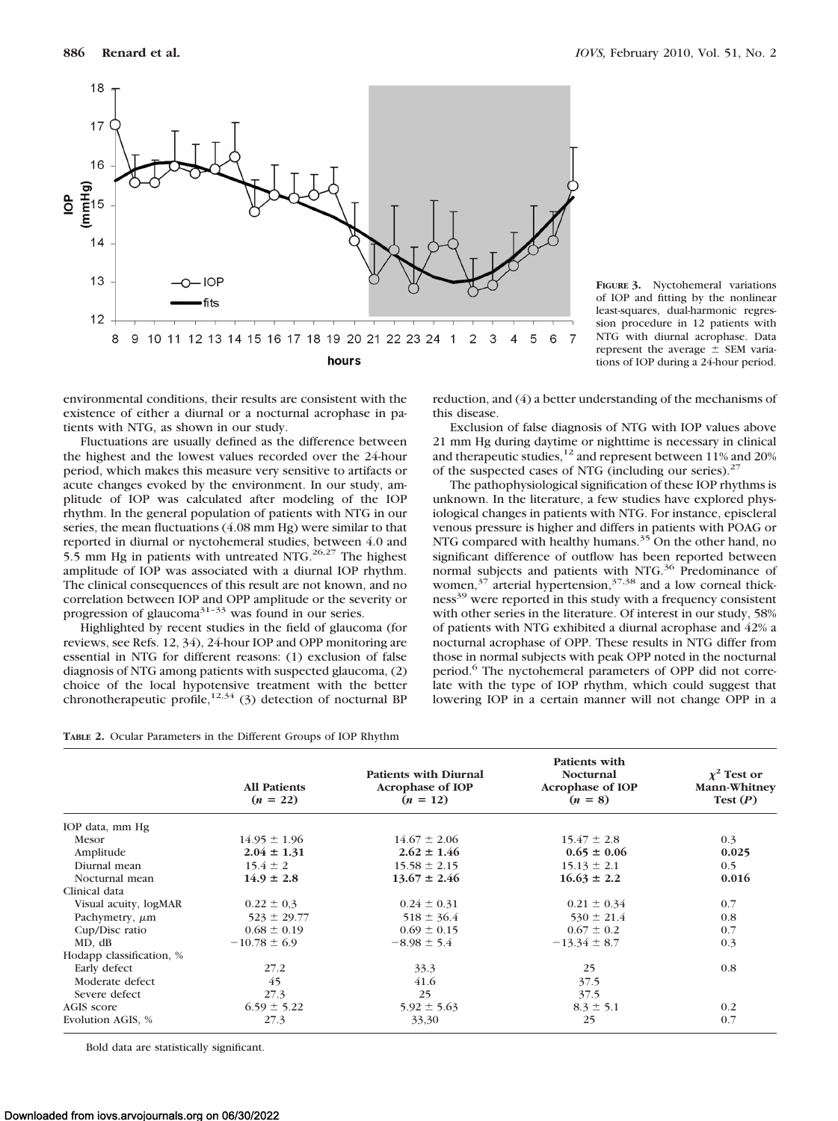

**FIGURE 3.** Nyctohemeral variations of IOP and fitting by the nonlinear least-squares, dual-harmonic regression procedure in 12 patients with NTG with diurnal acrophase. Data represent the average  $\pm$  SEM variations of IOP during a 24-hour period.

environmental conditions, their results are consistent with the existence of either a diurnal or a nocturnal acrophase in patients with NTG, as shown in our study.

Fluctuations are usually defined as the difference between the highest and the lowest values recorded over the 24-hour period, which makes this measure very sensitive to artifacts or acute changes evoked by the environment. In our study, amplitude of IOP was calculated after modeling of the IOP rhythm. In the general population of patients with NTG in our series, the mean fluctuations (4.08 mm Hg) were similar to that reported in diurnal or nyctohemeral studies, between 4.0 and 5.5 mm Hg in patients with untreated NTG.<sup>26,27</sup> The highest amplitude of IOP was associated with a diurnal IOP rhythm. The clinical consequences of this result are not known, and no correlation between IOP and OPP amplitude or the severity or progression of glaucoma<sup>31-33</sup> was found in our series.

Highlighted by recent studies in the field of glaucoma (for reviews, see Refs. 12, 34), 24-hour IOP and OPP monitoring are essential in NTG for different reasons: (1) exclusion of false diagnosis of NTG among patients with suspected glaucoma, (2) choice of the local hypotensive treatment with the better chronotherapeutic profile,<sup>12,34</sup> (3) detection of nocturnal BP

|  |  | TABLE 2. Ocular Parameters in the Different Groups of IOP Rhythm |  |  |  |  |  |  |  |  |
|--|--|------------------------------------------------------------------|--|--|--|--|--|--|--|--|
|--|--|------------------------------------------------------------------|--|--|--|--|--|--|--|--|

reduction, and (4) a better understanding of the mechanisms of this disease.

Exclusion of false diagnosis of NTG with IOP values above 21 mm Hg during daytime or nighttime is necessary in clinical and therapeutic studies,<sup>12</sup> and represent between 11% and 20% of the suspected cases of NTG (including our series). $27$ 

The pathophysiological signification of these IOP rhythms is unknown. In the literature, a few studies have explored physiological changes in patients with NTG. For instance, episcleral venous pressure is higher and differs in patients with POAG or NTG compared with healthy humans.<sup>35</sup> On the other hand, no significant difference of outflow has been reported between normal subjects and patients with NTG.<sup>36</sup> Predominance of women, $37$  arterial hypertension, $37,38$  and a low corneal thickness<sup>39</sup> were reported in this study with a frequency consistent with other series in the literature. Of interest in our study, 58% of patients with NTG exhibited a diurnal acrophase and 42% a nocturnal acrophase of OPP. These results in NTG differ from those in normal subjects with peak OPP noted in the nocturnal period.<sup>6</sup> The nyctohemeral parameters of OPP did not correlate with the type of IOP rhythm, which could suggest that lowering IOP in a certain manner will not change OPP in a

|                          | <b>All Patients</b><br>$(n = 22)$ | <b>Patients with Diurnal</b><br><b>Acrophase of IOP</b><br>$(n = 12)$ | Patients with<br><b>Nocturnal</b><br><b>Acrophase of IOP</b><br>$(n = 8)$ | $\chi^2$ Test or<br>Mann-Whitney<br>Test(P) |
|--------------------------|-----------------------------------|-----------------------------------------------------------------------|---------------------------------------------------------------------------|---------------------------------------------|
| IOP data, mm Hg          |                                   |                                                                       |                                                                           |                                             |
| Mesor                    | $14.95 \pm 1.96$                  | $14.67 \pm 2.06$                                                      | $15.47 \pm 2.8$                                                           | 0.3                                         |
| Amplitude                | $2.04 \pm 1.31$                   | $2.62 \pm 1.46$                                                       | $0.65 \pm 0.06$                                                           | 0.025                                       |
| Diurnal mean             | $15.4 \pm 2$                      | $15.58 \pm 2.15$                                                      | $15.13 \pm 2.1$                                                           | 0.5                                         |
| Nocturnal mean           | $14.9 \pm 2.8$                    | $13.67 \pm 2.46$                                                      | $16.63 \pm 2.2$                                                           | 0.016                                       |
| Clinical data            |                                   |                                                                       |                                                                           |                                             |
| Visual acuity, logMAR    | $0.22 \pm 0.3$                    | $0.24 \pm 0.31$                                                       | $0.21 \pm 0.34$                                                           | 0.7                                         |
| Pachymetry, $\mu$ m      | $523 \pm 29.77$                   | $518 \pm 36.4$                                                        | $530 \pm 21.4$                                                            | 0.8                                         |
| Cup/Disc ratio           | $0.68 \pm 0.19$                   | $0.69 \pm 0.15$                                                       | $0.67 \pm 0.2$                                                            | 0.7                                         |
| MD, dB                   | $-10.78 \pm 6.9$                  | $-8.98 \pm 5.4$                                                       | $-13.34 \pm 8.7$                                                          | 0.3                                         |
| Hodapp classification, % |                                   |                                                                       |                                                                           |                                             |
| Early defect             | 27.2                              | 33.3                                                                  | 25                                                                        | 0.8                                         |
| Moderate defect          | 45                                | 41.6                                                                  | 37.5                                                                      |                                             |
| Severe defect            | 27.3                              | 25                                                                    | 37.5                                                                      |                                             |
| AGIS score               | $6.59 \pm 5.22$                   | $5.92 \pm 5.63$                                                       | $8.3 \pm 5.1$                                                             | 0.2                                         |
| Evolution AGIS, %        | 27.3                              | 33,30                                                                 | 25                                                                        | 0.7                                         |

Bold data are statistically significant.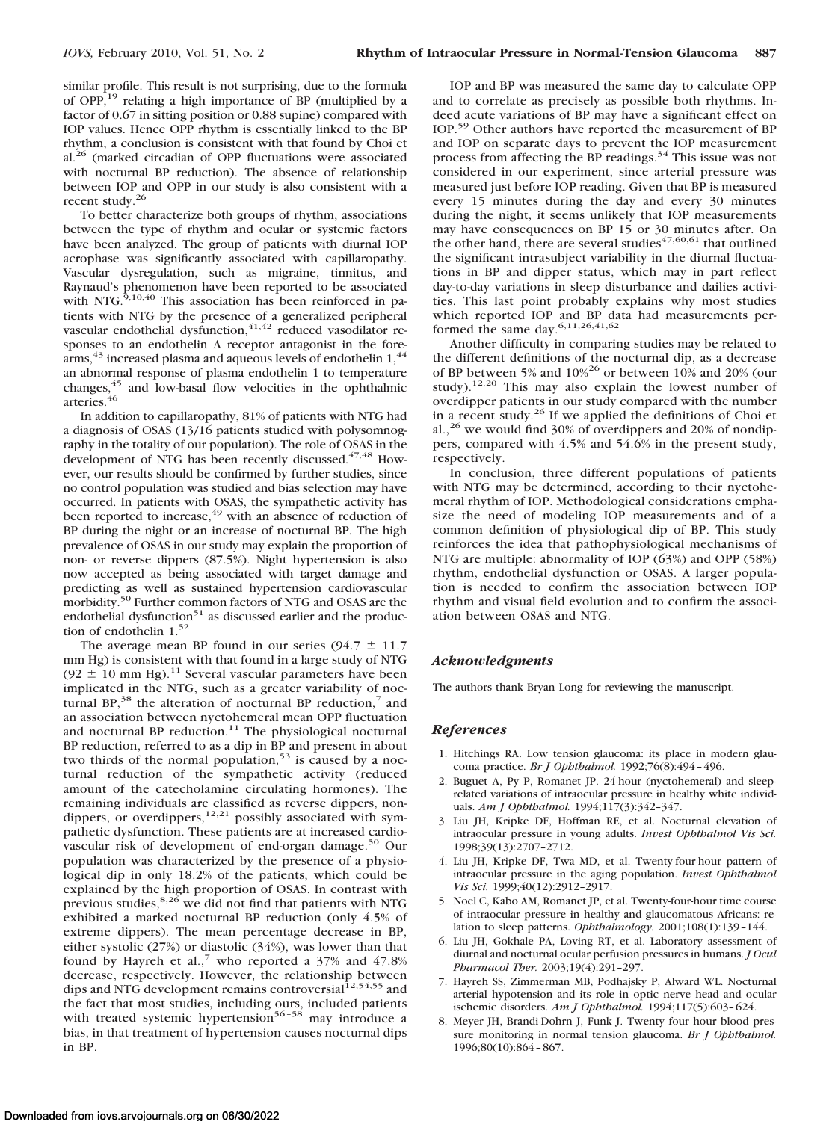similar profile. This result is not surprising, due to the formula of OPP, $^{19}$  relating a high importance of BP (multiplied by a factor of 0.67 in sitting position or 0.88 supine) compared with IOP values. Hence OPP rhythm is essentially linked to the BP rhythm, a conclusion is consistent with that found by Choi et al.26 (marked circadian of OPP fluctuations were associated with nocturnal BP reduction). The absence of relationship between IOP and OPP in our study is also consistent with a recent study.26

To better characterize both groups of rhythm, associations between the type of rhythm and ocular or systemic factors have been analyzed. The group of patients with diurnal IOP acrophase was significantly associated with capillaropathy. Vascular dysregulation, such as migraine, tinnitus, and Raynaud's phenomenon have been reported to be associated with NTG.<sup>9,10,40</sup> This association has been reinforced in patients with NTG by the presence of a generalized peripheral vascular endothelial dysfunction, $41,42$  reduced vasodilator responses to an endothelin A receptor antagonist in the forearms,  $43$  increased plasma and aqueous levels of endothelin  $1<sup>4</sup>$ an abnormal response of plasma endothelin 1 to temperature changes,<sup>45</sup> and low-basal flow velocities in the ophthalmic arteries.<sup>46</sup>

In addition to capillaropathy, 81% of patients with NTG had a diagnosis of OSAS (13/16 patients studied with polysomnography in the totality of our population). The role of OSAS in the development of NTG has been recently discussed.<sup>47,48</sup> However, our results should be confirmed by further studies, since no control population was studied and bias selection may have occurred. In patients with OSAS, the sympathetic activity has been reported to increase,<sup>49</sup> with an absence of reduction of BP during the night or an increase of nocturnal BP. The high prevalence of OSAS in our study may explain the proportion of non- or reverse dippers (87.5%). Night hypertension is also now accepted as being associated with target damage and predicting as well as sustained hypertension cardiovascular morbidity.50 Further common factors of NTG and OSAS are the endothelial dysfunction<sup>51</sup> as discussed earlier and the production of endothelin  $1.^{52}$ 

The average mean BP found in our series ( $94.7 \pm 11.7$ mm Hg) is consistent with that found in a large study of NTG  $(92 \pm 10 \text{ mm Hg})$ .<sup>11</sup> Several vascular parameters have been implicated in the NTG, such as a greater variability of nocturnal BP, $38$  the alteration of nocturnal BP reduction, $7$  and an association between nyctohemeral mean OPP fluctuation and nocturnal BP reduction.<sup>11</sup> The physiological nocturnal BP reduction, referred to as a dip in BP and present in about two thirds of the normal population,<sup>53</sup> is caused by a nocturnal reduction of the sympathetic activity (reduced amount of the catecholamine circulating hormones). The remaining individuals are classified as reverse dippers, nondippers, or overdippers,  $12,21$  possibly associated with sympathetic dysfunction. These patients are at increased cardiovascular risk of development of end-organ damage.<sup>50</sup> Our population was characterized by the presence of a physiological dip in only 18.2% of the patients, which could be explained by the high proportion of OSAS. In contrast with previous studies,<sup>8,26</sup> we did not find that patients with NTG exhibited a marked nocturnal BP reduction (only 4.5% of extreme dippers). The mean percentage decrease in BP, either systolic (27%) or diastolic (34%), was lower than that found by Hayreh et al.,<sup>7</sup> who reported a  $37\%$  and  $47.8\%$ decrease, respectively. However, the relationship between dips and NTG development remains controversial<sup>12,54,55</sup> and the fact that most studies, including ours, included patients with treated systemic hypertension<sup>56-58</sup> may introduce a bias, in that treatment of hypertension causes nocturnal dips in BP.

IOP and BP was measured the same day to calculate OPP and to correlate as precisely as possible both rhythms. Indeed acute variations of BP may have a significant effect on IOP.<sup>59</sup> Other authors have reported the measurement of BP and IOP on separate days to prevent the IOP measurement process from affecting the BP readings.<sup>34</sup> This issue was not considered in our experiment, since arterial pressure was measured just before IOP reading. Given that BP is measured every 15 minutes during the day and every 30 minutes during the night, it seems unlikely that IOP measurements may have consequences on BP 15 or 30 minutes after. On the other hand, there are several studies $47,60,61$  that outlined the significant intrasubject variability in the diurnal fluctuations in BP and dipper status, which may in part reflect day-to-day variations in sleep disturbance and dailies activities. This last point probably explains why most studies which reported IOP and BP data had measurements performed the same day.6,11,26,41,62

Another difficulty in comparing studies may be related to the different definitions of the nocturnal dip, as a decrease of BP between 5% and 10%<sup>26</sup> or between 10% and 20% (our study).<sup>12,20</sup> This may also explain the lowest number of overdipper patients in our study compared with the number in a recent study.<sup>26</sup> If we applied the definitions of Choi et al., $^{26}$  we would find 30% of overdippers and 20% of nondippers, compared with 4.5% and 54.6% in the present study, respectively.

In conclusion, three different populations of patients with NTG may be determined, according to their nyctohemeral rhythm of IOP. Methodological considerations emphasize the need of modeling IOP measurements and of a common definition of physiological dip of BP. This study reinforces the idea that pathophysiological mechanisms of NTG are multiple: abnormality of IOP (63%) and OPP (58%) rhythm, endothelial dysfunction or OSAS. A larger population is needed to confirm the association between IOP rhythm and visual field evolution and to confirm the association between OSAS and NTG.

## *Acknowledgments*

The authors thank Bryan Long for reviewing the manuscript.

## *References*

- 1. Hitchings RA. Low tension glaucoma: its place in modern glaucoma practice. *Br J Ophthalmol.* 1992;76(8):494 – 496.
- 2. Buguet A, Py P, Romanet JP. 24-hour (nyctohemeral) and sleeprelated variations of intraocular pressure in healthy white individuals. *Am J Ophthalmol.* 1994;117(3):342–347.
- 3. Liu JH, Kripke DF, Hoffman RE, et al. Nocturnal elevation of intraocular pressure in young adults. *Invest Ophthalmol Vis Sci.* 1998;39(13):2707–2712.
- 4. Liu JH, Kripke DF, Twa MD, et al. Twenty-four-hour pattern of intraocular pressure in the aging population. *Invest Ophthalmol Vis Sci.* 1999;40(12):2912–2917.
- 5. Noel C, Kabo AM, Romanet JP, et al. Twenty-four-hour time course of intraocular pressure in healthy and glaucomatous Africans: relation to sleep patterns. *Ophthalmology.* 2001;108(1):139 –144.
- 6. Liu JH, Gokhale PA, Loving RT, et al. Laboratory assessment of diurnal and nocturnal ocular perfusion pressures in humans. *J Ocul Pharmacol Ther.* 2003;19(4):291–297.
- 7. Hayreh SS, Zimmerman MB, Podhajsky P, Alward WL. Nocturnal arterial hypotension and its role in optic nerve head and ocular ischemic disorders. *Am J Ophthalmol.* 1994;117(5):603– 624.
- 8. Meyer JH, Brandi-Dohrn J, Funk J. Twenty four hour blood pressure monitoring in normal tension glaucoma. *Br J Ophthalmol.* 1996;80(10):864 – 867.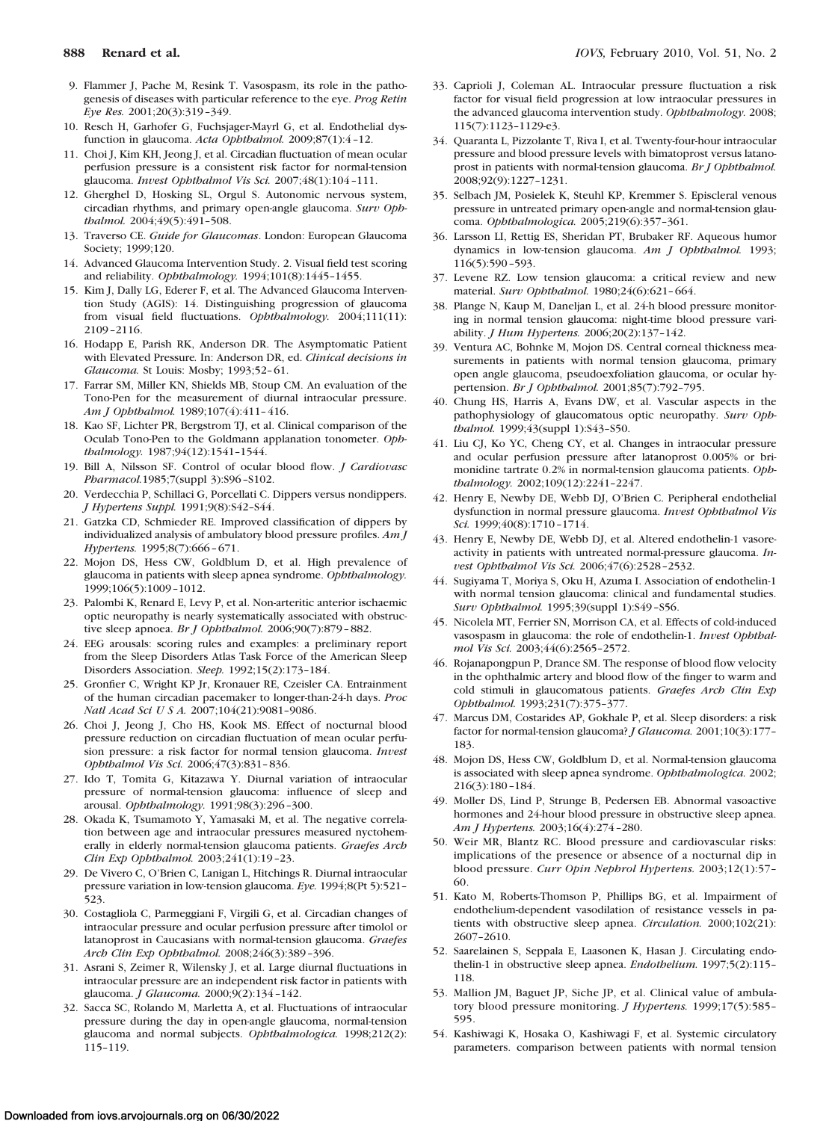- 9. Flammer J, Pache M, Resink T. Vasospasm, its role in the pathogenesis of diseases with particular reference to the eye. *Prog Retin Eye Res.* 2001;20(3):319 –349.
- 10. Resch H, Garhofer G, Fuchsjager-Mayrl G, et al. Endothelial dysfunction in glaucoma. *Acta Ophthalmol.* 2009;87(1):4 –12.
- 11. Choi J, Kim KH, Jeong J, et al. Circadian fluctuation of mean ocular perfusion pressure is a consistent risk factor for normal-tension glaucoma. *Invest Ophthalmol Vis Sci.* 2007;48(1):104 –111.
- 12. Gherghel D, Hosking SL, Orgul S. Autonomic nervous system, circadian rhythms, and primary open-angle glaucoma. *Surv Ophthalmol.* 2004;49(5):491–508.
- 13. Traverso CE. *Guide for Glaucomas*. London: European Glaucoma Society; 1999;120.
- 14. Advanced Glaucoma Intervention Study. 2. Visual field test scoring and reliability. *Ophthalmology.* 1994;101(8):1445–1455.
- 15. Kim J, Dally LG, Ederer F, et al. The Advanced Glaucoma Intervention Study (AGIS): 14. Distinguishing progression of glaucoma from visual field fluctuations. *Ophthalmology.* 2004;111(11): 2109 –2116.
- 16. Hodapp E, Parish RK, Anderson DR. The Asymptomatic Patient with Elevated Pressure*.* In: Anderson DR, ed. *Clinical decisions in Glaucoma.* St Louis: Mosby; 1993;52– 61.
- 17. Farrar SM, Miller KN, Shields MB, Stoup CM. An evaluation of the Tono-Pen for the measurement of diurnal intraocular pressure. *Am J Ophthalmol.* 1989;107(4):411– 416.
- 18. Kao SF, Lichter PR, Bergstrom TJ, et al. Clinical comparison of the Oculab Tono-Pen to the Goldmann applanation tonometer. *Ophthalmology.* 1987;94(12):1541–1544.
- 19. Bill A, Nilsson SF. Control of ocular blood flow. *J Cardiovasc Pharmacol.*1985;7(suppl 3):S96 –S102.
- 20. Verdecchia P, Schillaci G, Porcellati C. Dippers versus nondippers. *J Hypertens Suppl.* 1991;9(8):S42–S44.
- 21. Gatzka CD, Schmieder RE. Improved classification of dippers by individualized analysis of ambulatory blood pressure profiles. *Am J Hypertens.* 1995;8(7):666 – 671.
- 22. Mojon DS, Hess CW, Goldblum D, et al. High prevalence of glaucoma in patients with sleep apnea syndrome. *Ophthalmology.* 1999;106(5):1009 –1012.
- 23. Palombi K, Renard E, Levy P, et al. Non-arteritic anterior ischaemic optic neuropathy is nearly systematically associated with obstructive sleep apnoea. *Br J Ophthalmol.* 2006;90(7):879 – 882.
- 24. EEG arousals: scoring rules and examples: a preliminary report from the Sleep Disorders Atlas Task Force of the American Sleep Disorders Association. *Sleep.* 1992;15(2):173–184.
- 25. Gronfier C, Wright KP Jr, Kronauer RE, Czeisler CA. Entrainment of the human circadian pacemaker to longer-than-24-h days. *Proc Natl Acad Sci U S A.* 2007;104(21):9081–9086.
- 26. Choi J, Jeong J, Cho HS, Kook MS. Effect of nocturnal blood pressure reduction on circadian fluctuation of mean ocular perfusion pressure: a risk factor for normal tension glaucoma. *Invest Ophthalmol Vis Sci.* 2006;47(3):831– 836.
- 27. Ido T, Tomita G, Kitazawa Y. Diurnal variation of intraocular pressure of normal-tension glaucoma: influence of sleep and arousal. *Ophthalmology.* 1991;98(3):296 –300.
- 28. Okada K, Tsumamoto Y, Yamasaki M, et al. The negative correlation between age and intraocular pressures measured nyctohemerally in elderly normal-tension glaucoma patients. *Graefes Arch Clin Exp Ophthalmol.* 2003;241(1):19 –23.
- 29. De Vivero C, O'Brien C, Lanigan L, Hitchings R. Diurnal intraocular pressure variation in low-tension glaucoma. *Eye.* 1994;8(Pt 5):521– 523.
- 30. Costagliola C, Parmeggiani F, Virgili G, et al. Circadian changes of intraocular pressure and ocular perfusion pressure after timolol or latanoprost in Caucasians with normal-tension glaucoma. *Graefes Arch Clin Exp Ophthalmol.* 2008;246(3):389 –396.
- 31. Asrani S, Zeimer R, Wilensky J, et al. Large diurnal fluctuations in intraocular pressure are an independent risk factor in patients with glaucoma. *J Glaucoma.* 2000;9(2):134 –142.
- 32. Sacca SC, Rolando M, Marletta A, et al. Fluctuations of intraocular pressure during the day in open-angle glaucoma, normal-tension glaucoma and normal subjects. *Ophthalmologica.* 1998;212(2): 115–119.
- 33. Caprioli J, Coleman AL. Intraocular pressure fluctuation a risk factor for visual field progression at low intraocular pressures in the advanced glaucoma intervention study. *Ophthalmology.* 2008; 115(7):1123–1129-e3.
- 34. Quaranta L, Pizzolante T, Riva I, et al. Twenty-four-hour intraocular pressure and blood pressure levels with bimatoprost versus latanoprost in patients with normal-tension glaucoma. *Br J Ophthalmol.* 2008;92(9):1227–1231.
- 35. Selbach JM, Posielek K, Steuhl KP, Kremmer S. Episcleral venous pressure in untreated primary open-angle and normal-tension glaucoma. *Ophthalmologica.* 2005;219(6):357–361.
- 36. Larsson LI, Rettig ES, Sheridan PT, Brubaker RF. Aqueous humor dynamics in low-tension glaucoma. *Am J Ophthalmol.* 1993; 116(5):590 –593.
- 37. Levene RZ. Low tension glaucoma: a critical review and new material. *Surv Ophthalmol.* 1980;24(6):621– 664.
- 38. Plange N, Kaup M, Daneljan L, et al. 24-h blood pressure monitoring in normal tension glaucoma: night-time blood pressure variability. *J Hum Hypertens.* 2006;20(2):137–142.
- 39. Ventura AC, Bohnke M, Mojon DS. Central corneal thickness measurements in patients with normal tension glaucoma, primary open angle glaucoma, pseudoexfoliation glaucoma, or ocular hypertension. *Br J Ophthalmol.* 2001;85(7):792–795.
- 40. Chung HS, Harris A, Evans DW, et al. Vascular aspects in the pathophysiology of glaucomatous optic neuropathy. *Surv Ophthalmol.* 1999;43(suppl 1):S43–S50.
- 41. Liu CJ, Ko YC, Cheng CY, et al. Changes in intraocular pressure and ocular perfusion pressure after latanoprost 0.005% or brimonidine tartrate 0.2% in normal-tension glaucoma patients. *Ophthalmology.* 2002;109(12):2241–2247.
- 42. Henry E, Newby DE, Webb DJ, O'Brien C. Peripheral endothelial dysfunction in normal pressure glaucoma. *Invest Ophthalmol Vis Sci.* 1999;40(8):1710 –1714.
- 43. Henry E, Newby DE, Webb DJ, et al. Altered endothelin-1 vasoreactivity in patients with untreated normal-pressure glaucoma. *Invest Ophthalmol Vis Sci.* 2006;47(6):2528 –2532.
- 44. Sugiyama T, Moriya S, Oku H, Azuma I. Association of endothelin-1 with normal tension glaucoma: clinical and fundamental studies. *Surv Ophthalmol.* 1995;39(suppl 1):S49 –S56.
- 45. Nicolela MT, Ferrier SN, Morrison CA, et al. Effects of cold-induced vasospasm in glaucoma: the role of endothelin-1. *Invest Ophthalmol Vis Sci.* 2003;44(6):2565–2572.
- 46. Rojanapongpun P, Drance SM. The response of blood flow velocity in the ophthalmic artery and blood flow of the finger to warm and cold stimuli in glaucomatous patients. *Graefes Arch Clin Exp Ophthalmol.* 1993;231(7):375–377.
- 47. Marcus DM, Costarides AP, Gokhale P, et al. Sleep disorders: a risk factor for normal-tension glaucoma? *J Glaucoma.* 2001;10(3):177– 183.
- 48. Mojon DS, Hess CW, Goldblum D, et al. Normal-tension glaucoma is associated with sleep apnea syndrome. *Ophthalmologica.* 2002; 216(3):180 –184.
- 49. Moller DS, Lind P, Strunge B, Pedersen EB. Abnormal vasoactive hormones and 24-hour blood pressure in obstructive sleep apnea. *Am J Hypertens.* 2003;16(4):274 –280.
- 50. Weir MR, Blantz RC. Blood pressure and cardiovascular risks: implications of the presence or absence of a nocturnal dip in blood pressure. *Curr Opin Nephrol Hypertens.* 2003;12(1):57– 60.
- 51. Kato M, Roberts-Thomson P, Phillips BG, et al. Impairment of endothelium-dependent vasodilation of resistance vessels in patients with obstructive sleep apnea. *Circulation.* 2000;102(21): 2607–2610.
- 52. Saarelainen S, Seppala E, Laasonen K, Hasan J. Circulating endothelin-1 in obstructive sleep apnea. *Endothelium.* 1997;5(2):115– 118.
- 53. Mallion JM, Baguet JP, Siche JP, et al. Clinical value of ambulatory blood pressure monitoring. *J Hypertens.* 1999;17(5):585– 595.
- 54. Kashiwagi K, Hosaka O, Kashiwagi F, et al. Systemic circulatory parameters. comparison between patients with normal tension